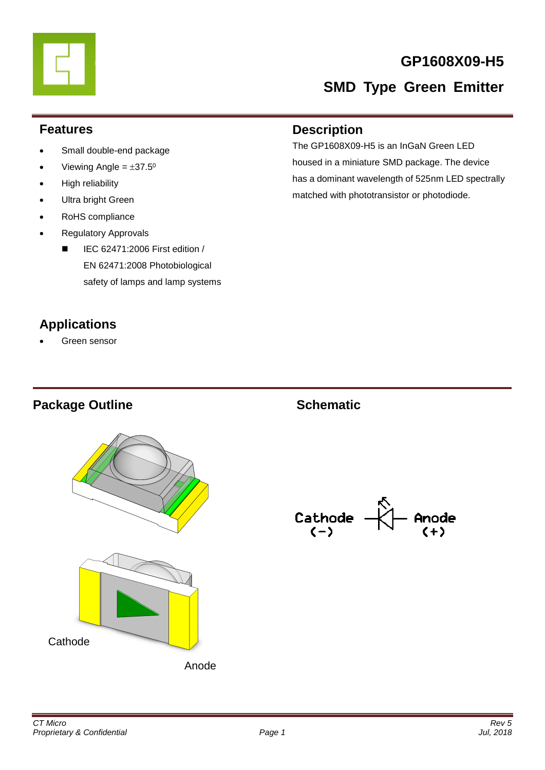# **GP1608X09-H5 SMD Type Green Emitter**

#### **Features**

- Small double-end package
- Viewing Angle =  $\pm 37.5^\circ$
- High reliability
- Ultra bright Green
- RoHS compliance
- Regulatory Approvals
	- $\blacksquare$  IEC 62471:2006 First edition / EN 62471:2008 Photobiological safety of lamps and lamp systems

# **Applications**

Green sensor

# **Package Outline Schematic**



**Description**

The GP1608X09-H5 is an InGaN Green LED housed in a miniature SMD package. The device has a dominant wavelength of 525nm LED spectrally matched with phototransistor or photodiode.

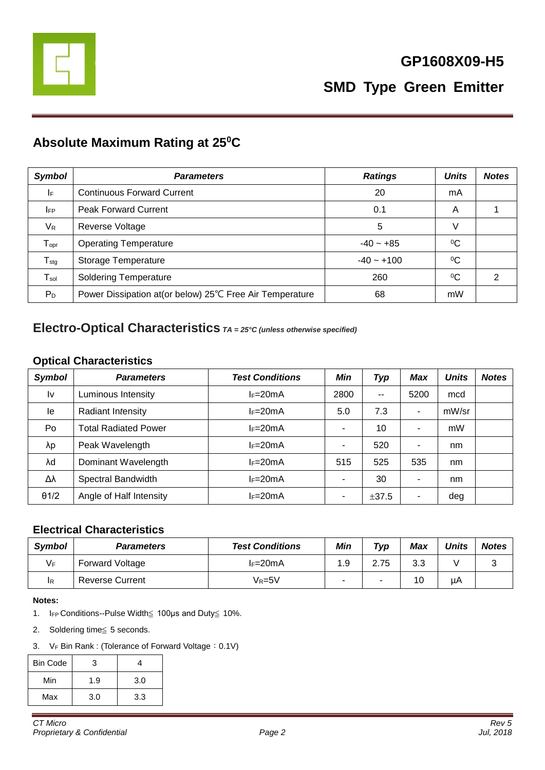

# **Absolute Maximum Rating at 25<sup>0</sup>C**

| <b>Symbol</b>               | <b>Parameters</b>                                        | <b>Ratings</b> | <b>Units</b> | <b>Notes</b> |
|-----------------------------|----------------------------------------------------------|----------------|--------------|--------------|
| IF                          | <b>Continuous Forward Current</b>                        | 20             | mA           |              |
| <b>IFP</b>                  | <b>Peak Forward Current</b>                              | 0.1            | A            |              |
| $V_{R}$                     | Reverse Voltage                                          | 5              | V            |              |
| $\mathsf{T}_{\mathsf{opr}}$ | <b>Operating Temperature</b>                             | $-40 - +85$    | $^{0}C$      |              |
| $T_{\text{stg}}$            | Storage Temperature                                      | $-40 - +100$   | $^{0}C$      |              |
| $T_{sol}$                   | <b>Soldering Temperature</b>                             | 260            | $\rm ^{0}C$  | っ            |
| $P_D$                       | Power Dissipation at (or below) 25℃ Free Air Temperature | 68             | mW           |              |

#### **Electro-Optical Characteristics** *TA = 25°C (unless otherwise specified)*

#### **Optical Characteristics**

| <b>Symbol</b> | <b>Parameters</b>           | <b>Test Conditions</b> | Min                      | <b>Typ</b> | <b>Max</b>               | <b>Units</b> | <b>Notes</b> |
|---------------|-----------------------------|------------------------|--------------------------|------------|--------------------------|--------------|--------------|
| I٧            | Luminous Intensity          | $I_F=20mA$             | 2800                     | $- -$      | 5200                     | mcd          |              |
| le            | Radiant Intensity           | $I_F=20mA$             | 5.0                      | 7.3        | ٠                        | mW/sr        |              |
| Po            | <b>Total Radiated Power</b> | $I_F=20mA$             | ۰                        | 10         | ٠                        | mW           |              |
| λp            | Peak Wavelength             | $I_F=20mA$             | $\overline{\phantom{0}}$ | 520        | $\overline{\phantom{a}}$ | nm           |              |
| λd            | Dominant Wavelength         | $I_F=20mA$             | 515                      | 525        | 535                      | nm           |              |
| Δλ            | Spectral Bandwidth          | $I_F=20mA$             | ۰                        | 30         | -                        | nm           |              |
| $\theta$ 1/2  | Angle of Half Intensity     | $I_F=20mA$             | ٠                        | ±37.5      | ۰                        | deg          |              |

#### **Electrical Characteristics**

| <b>Symbol</b> | <b>Parameters</b>      | <b>Test Conditions</b> | Min | $\tau_{\gamma p}$ | Max | <b>Units</b> | <b>Notes</b> |
|---------------|------------------------|------------------------|-----|-------------------|-----|--------------|--------------|
| $V_F$         | <b>Forward Voltage</b> | $I_F=20mA$             | 1.9 | 2.75              | 3.3 |              | J            |
| IR            | <b>Reverse Current</b> | Vr=5V                  |     | -                 | 10  | μA           |              |

#### **Notes:**

- 1. IFP Conditions--Pulse Width≦ 100μs and Duty≦ 10%.
- 2. Soldering time≦ 5 seconds.
- 3. VF Bin Rank: (Tolerance of Forward Voltage: 0.1V)

| <b>Bin Code</b> | З   |     |
|-----------------|-----|-----|
| Min             | 1.9 | 3.0 |
| Max             | 3.0 | 3.3 |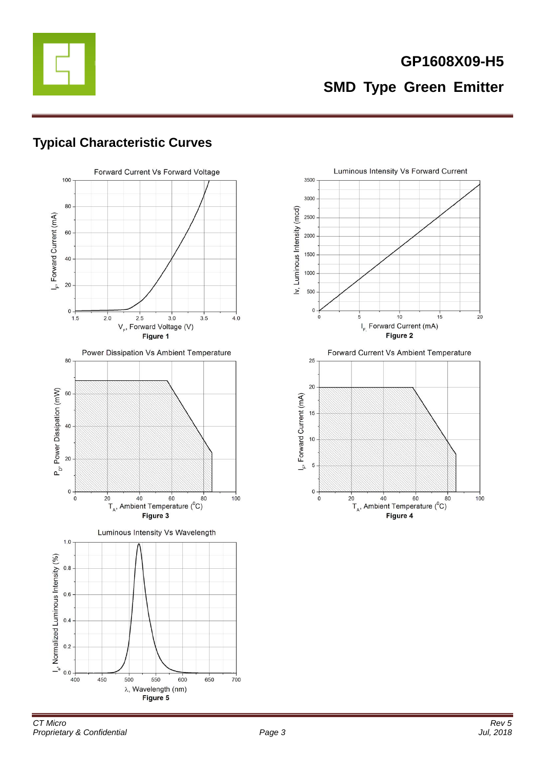

#### **Typical Characteristic Curves**



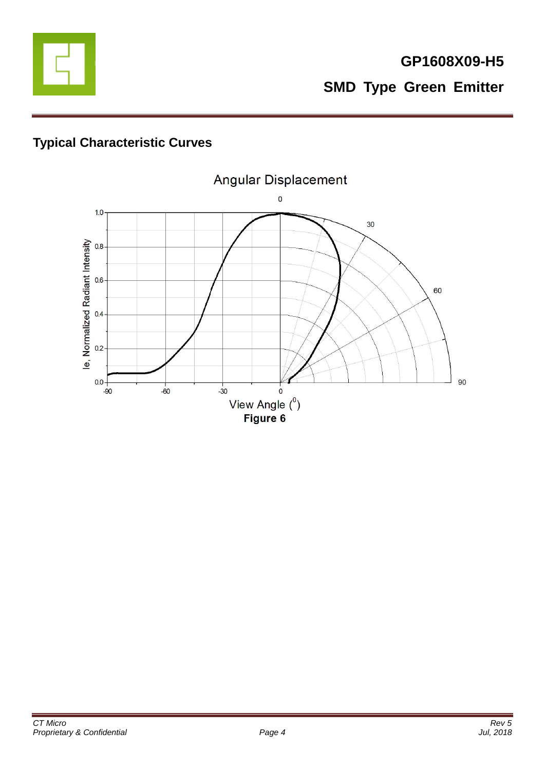

# **Typical Characteristic Curves**

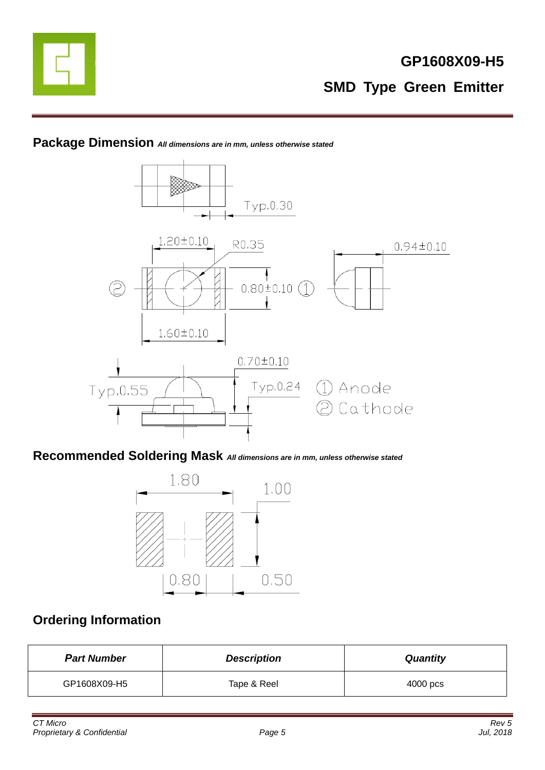



#### **Package Dimension** *All dimensions are in mm, unless otherwise stated*

**Recommended Soldering Mask** *All dimensions are in mm, unless otherwise stated*



#### **Ordering Information**

| <b>Part Number</b> | <b>Description</b> | <b>Quantity</b> |
|--------------------|--------------------|-----------------|
| GP1608X09-H5       | Tape & Reel        | 4000 pcs        |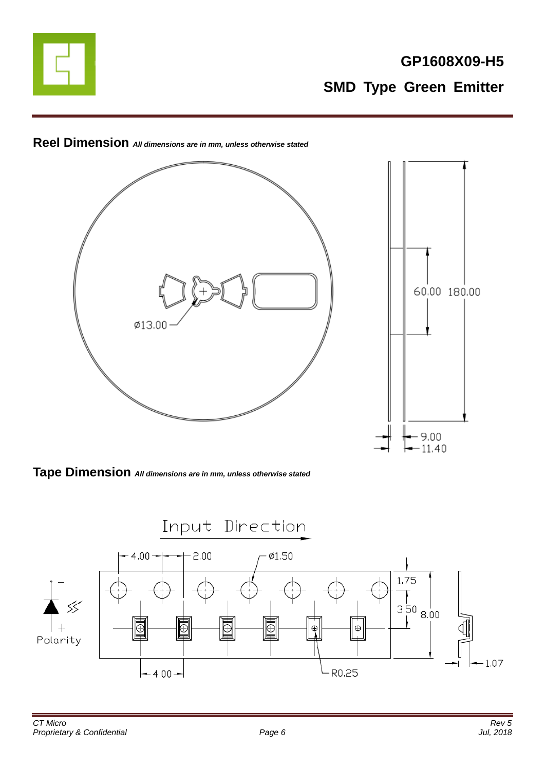



**Reel Dimension** *All dimensions are in mm, unless otherwise stated*

**Tape Dimension** *All dimensions are in mm, unless otherwise stated*

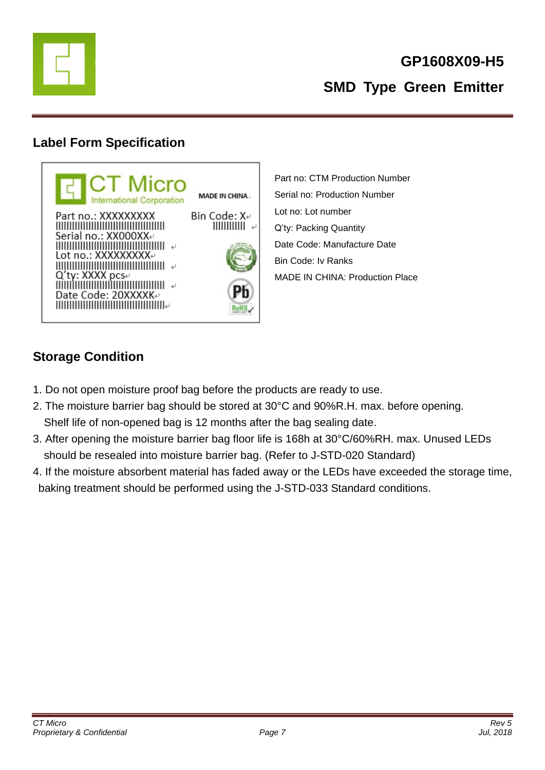

#### **Label Form Specification**



Part no: CTM Production Number Serial no: Production Number Lot no: Lot number Q'ty: Packing Quantity Date Code: Manufacture Date Bin Code: Iv Ranks MADE IN CHINA: Production Place

# **Storage Condition**

- 1. Do not open moisture proof bag before the products are ready to use.
- 2. The moisture barrier bag should be stored at 30°C and 90%R.H. max. before opening. Shelf life of non-opened bag is 12 months after the bag sealing date.
- 3. After opening the moisture barrier bag floor life is 168h at 30°C/60%RH. max. Unused LEDs should be resealed into moisture barrier bag. (Refer to J-STD-020 Standard)
- 4. If the moisture absorbent material has faded away or the LEDs have exceeded the storage time, baking treatment should be performed using the J-STD-033 Standard conditions.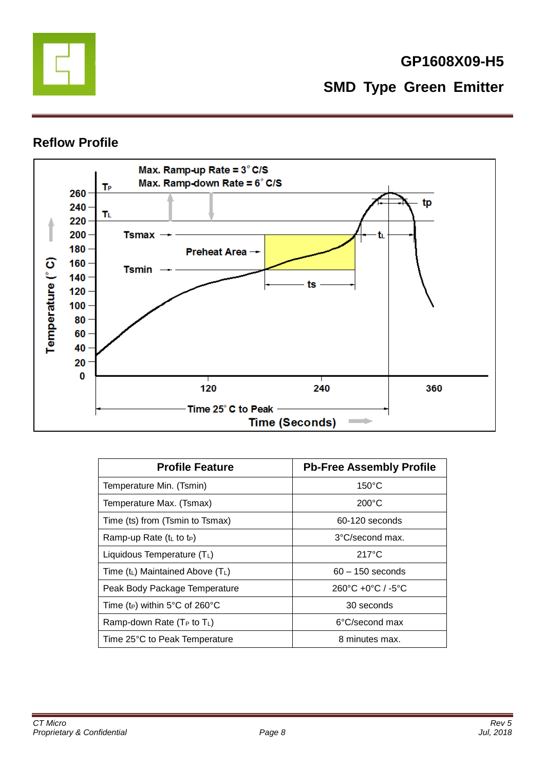![](_page_7_Picture_0.jpeg)

#### **Reflow Profile**

![](_page_7_Figure_3.jpeg)

| <b>Profile Feature</b>                     | <b>Pb-Free Assembly Profile</b>                   |
|--------------------------------------------|---------------------------------------------------|
| Temperature Min. (Tsmin)                   | $150^{\circ}$ C                                   |
| Temperature Max. (Tsmax)                   | $200^{\circ}$ C                                   |
| Time (ts) from (Tsmin to Tsmax)            | 60-120 seconds                                    |
| Ramp-up Rate $(tL$ to t <sub>P</sub> )     | $3^{\circ}$ C/second max.                         |
| Liquidous Temperature $(T_L)$              | $217^{\circ}$ C                                   |
| Time $(t_L)$ Maintained Above $(T_L)$      | $60 - 150$ seconds                                |
| Peak Body Package Temperature              | $260^{\circ}$ C +0 $^{\circ}$ C / -5 $^{\circ}$ C |
| Time (t <sub>P</sub> ) within 5°C of 260°C | 30 seconds                                        |
| Ramp-down Rate ( $T_P$ to $T_L$ )          | 6°C/second max                                    |
| Time 25°C to Peak Temperature              | 8 minutes max.                                    |